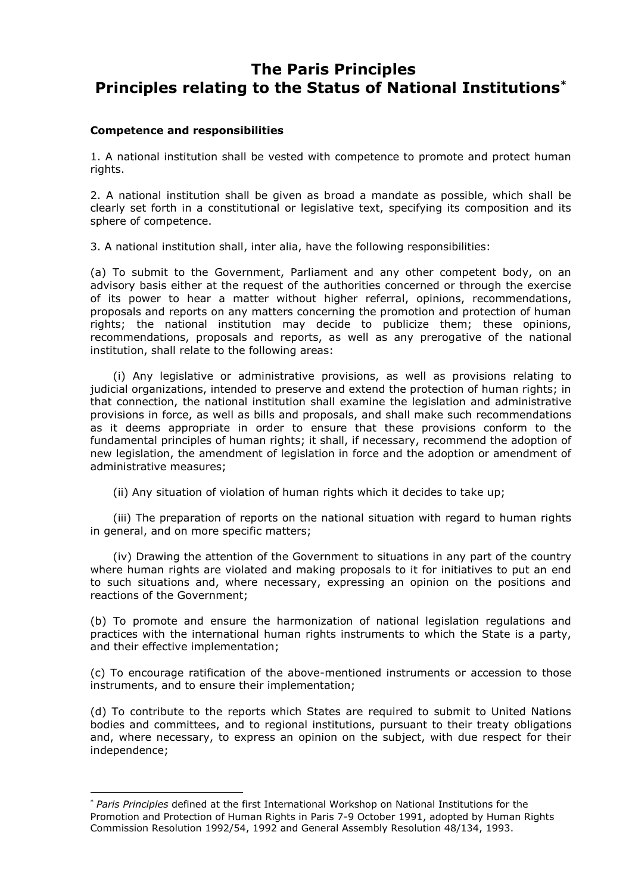# **The Paris Principles Principles relating to the Status of National Institutions\***

## **Competence and responsibilities**

<u>.</u>

1. A national institution shall be vested with competence to promote and protect human rights.

2. A national institution shall be given as broad a mandate as possible, which shall be clearly set forth in a constitutional or legislative text, specifying its composition and its sphere of competence.

3. A national institution shall, inter alia, have the following responsibilities:

(a) To submit to the Government, Parliament and any other competent body, on an advisory basis either at the request of the authorities concerned or through the exercise of its power to hear a matter without higher referral, opinions, recommendations, proposals and reports on any matters concerning the promotion and protection of human rights; the national institution may decide to publicize them; these opinions, recommendations, proposals and reports, as well as any prerogative of the national institution, shall relate to the following areas:

(i) Any legislative or administrative provisions, as well as provisions relating to judicial organizations, intended to preserve and extend the protection of human rights; in that connection, the national institution shall examine the legislation and administrative provisions in force, as well as bills and proposals, and shall make such recommendations as it deems appropriate in order to ensure that these provisions conform to the fundamental principles of human rights; it shall, if necessary, recommend the adoption of new legislation, the amendment of legislation in force and the adoption or amendment of administrative measures;

(ii) Any situation of violation of human rights which it decides to take up;

(iii) The preparation of reports on the national situation with regard to human rights in general, and on more specific matters;

(iv) Drawing the attention of the Government to situations in any part of the country where human rights are violated and making proposals to it for initiatives to put an end to such situations and, where necessary, expressing an opinion on the positions and reactions of the Government;

(b) To promote and ensure the harmonization of national legislation regulations and practices with the international human rights instruments to which the State is a party, and their effective implementation;

(c) To encourage ratification of the above-mentioned instruments or accession to those instruments, and to ensure their implementation;

(d) To contribute to the reports which States are required to submit to United Nations bodies and committees, and to regional institutions, pursuant to their treaty obligations and, where necessary, to express an opinion on the subject, with due respect for their independence;

<sup>\*</sup> *Paris Principles* defined at the first International Workshop on National Institutions for the Promotion and Protection of Human Rights in Paris 7-9 October 1991, adopted by Human Rights Commission Resolution 1992/54, 1992 and General Assembly Resolution 48/134, 1993.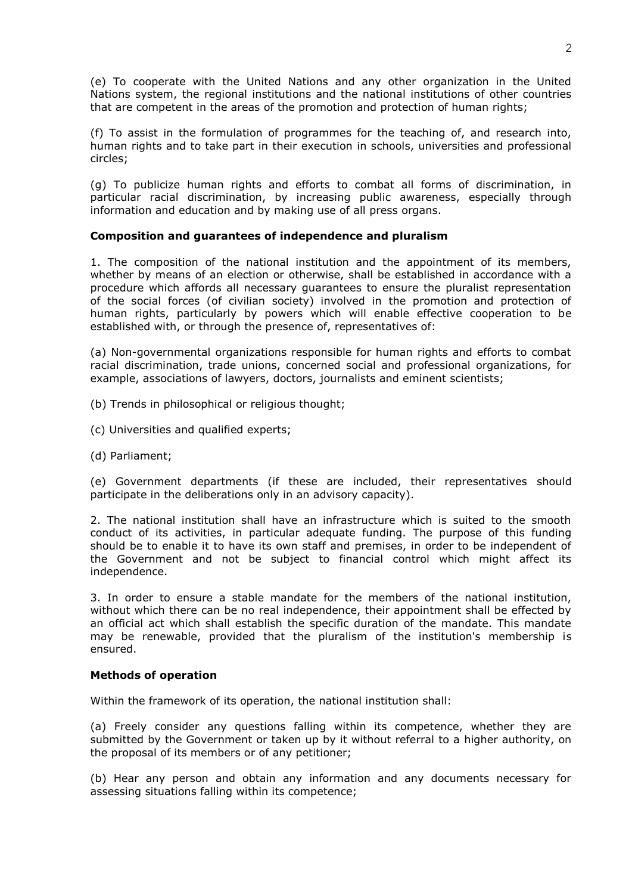(e) To cooperate with the United Nations and any other organization in the United Nations system, the regional institutions and the national institutions of other countries that are competent in the areas of the promotion and protection of human rights;

(f) To assist in the formulation of programmes for the teaching of, and research into, human rights and to take part in their execution in schools, universities and professional circles;

(g) To publicize human rights and efforts to combat all forms of discrimination, in particular racial discrimination, by increasing public awareness, especially through information and education and by making use of all press organs.

### **Composition and guarantees of independence and pluralism**

1. The composition of the national institution and the appointment of its members, whether by means of an election or otherwise, shall be established in accordance with a procedure which affords all necessary guarantees to ensure the pluralist representation of the social forces (of civilian society) involved in the promotion and protection of human rights, particularly by powers which will enable effective cooperation to be established with, or through the presence of, representatives of:

(a) Non-governmental organizations responsible for human rights and efforts to combat racial discrimination, trade unions, concerned social and professional organizations, for example, associations of lawyers, doctors, journalists and eminent scientists;

- (b) Trends in philosophical or religious thought;
- (c) Universities and qualified experts;
- (d) Parliament;

(e) Government departments (if these are included, their representatives should participate in the deliberations only in an advisory capacity).

2. The national institution shall have an infrastructure which is suited to the smooth conduct of its activities, in particular adequate funding. The purpose of this funding should be to enable it to have its own staff and premises, in order to be independent of the Government and not be subject to financial control which might affect its independence.

3. In order to ensure a stable mandate for the members of the national institution, without which there can be no real independence, their appointment shall be effected by an official act which shall establish the specific duration of the mandate. This mandate may be renewable, provided that the pluralism of the institution's membership is ensured.

### **Methods of operation**

Within the framework of its operation, the national institution shall:

(a) Freely consider any questions falling within its competence, whether they are submitted by the Government or taken up by it without referral to a higher authority, on the proposal of its members or of any petitioner;

(b) Hear any person and obtain any information and any documents necessary for assessing situations falling within its competence;